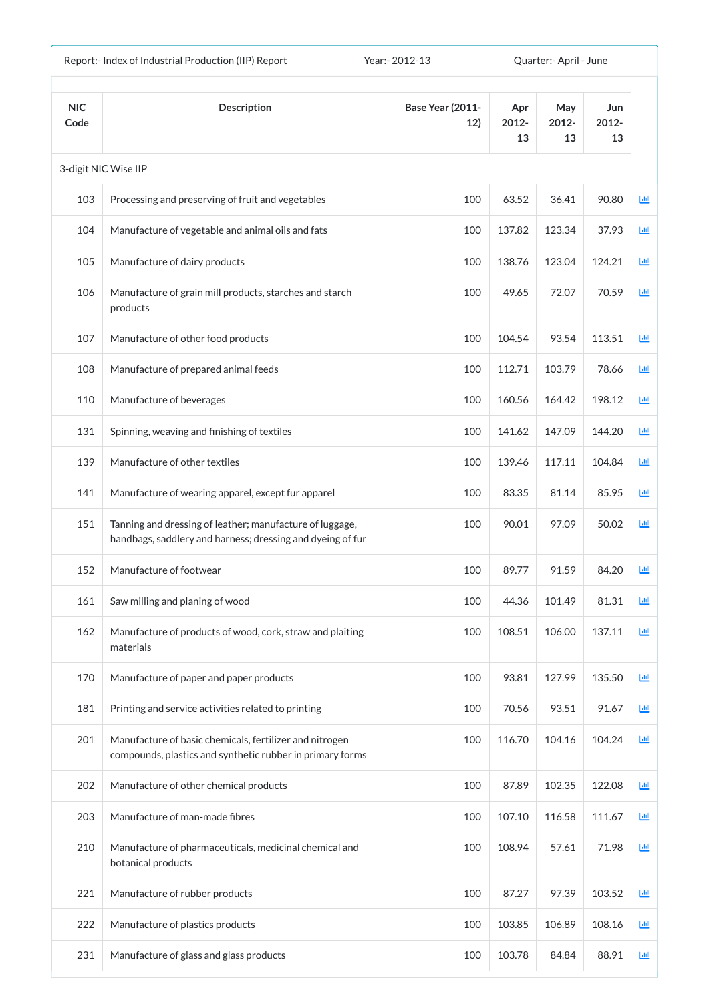|                    | Report:- Index of Industrial Production (IIP) Report                                                                   | Year: - 2012-13                |                    | Quarter: - April - June |                    |            |
|--------------------|------------------------------------------------------------------------------------------------------------------------|--------------------------------|--------------------|-------------------------|--------------------|------------|
| <b>NIC</b><br>Code | <b>Description</b>                                                                                                     | <b>Base Year (2011-</b><br>12) | Apr<br>2012-<br>13 | May<br>2012-<br>13      | Jun<br>2012-<br>13 |            |
|                    | 3-digit NIC Wise IIP                                                                                                   |                                |                    |                         |                    |            |
| 103                | Processing and preserving of fruit and vegetables                                                                      | 100                            | 63.52              | 36.41                   | 90.80              | <u>lad</u> |
| 104                | Manufacture of vegetable and animal oils and fats                                                                      | 100                            | 137.82             | 123.34                  | 37.93              | 画          |
| 105                | Manufacture of dairy products                                                                                          | 100                            | 138.76             | 123.04                  | 124.21             | 画          |
| 106                | Manufacture of grain mill products, starches and starch<br>products                                                    | 100                            | 49.65              | 72.07                   | 70.59              | 画          |
| 107                | Manufacture of other food products                                                                                     | 100                            | 104.54             | 93.54                   | 113.51             | 画          |
| 108                | Manufacture of prepared animal feeds                                                                                   | 100                            | 112.71             | 103.79                  | 78.66              | 画          |
| 110                | Manufacture of beverages                                                                                               | 100                            | 160.56             | 164.42                  | 198.12             | 匝          |
| 131                | Spinning, weaving and finishing of textiles                                                                            | 100                            | 141.62             | 147.09                  | 144.20             | 画          |
| 139                | Manufacture of other textiles                                                                                          | 100                            | 139.46             | 117.11                  | 104.84             | ш          |
| 141                | Manufacture of wearing apparel, except fur apparel                                                                     | 100                            | 83.35              | 81.14                   | 85.95              | Ш          |
| 151                | Tanning and dressing of leather; manufacture of luggage,<br>handbags, saddlery and harness; dressing and dyeing of fur | 100                            | 90.01              | 97.09                   | 50.02              | ш          |
| 152                | Manufacture of footwear                                                                                                | 100                            | 89.77              | 91.59                   | 84.20              | 画          |
| 161                | Saw milling and planing of wood                                                                                        | 100                            | 44.36              | 101.49                  | 81.31              | ш          |
| 162                | Manufacture of products of wood, cork, straw and plaiting<br>materials                                                 | 100                            | 108.51             | 106.00                  | 137.11             | Ш          |
| 170                | Manufacture of paper and paper products                                                                                | 100                            | 93.81              | 127.99                  | 135.50             | Ш          |
| 181                | Printing and service activities related to printing                                                                    | 100                            | 70.56              | 93.51                   | 91.67              | 画          |
| 201                | Manufacture of basic chemicals, fertilizer and nitrogen<br>compounds, plastics and synthetic rubber in primary forms   | 100                            | 116.70             | 104.16                  | 104.24             | ш          |
| 202                | Manufacture of other chemical products                                                                                 | 100                            | 87.89              | 102.35                  | 122.08             | 國          |
| 203                | Manufacture of man-made fibres                                                                                         | 100                            | 107.10             | 116.58                  | 111.67             | 画          |
| 210                | Manufacture of pharmaceuticals, medicinal chemical and<br>botanical products                                           | 100                            | 108.94             | 57.61                   | 71.98              | 画          |
| 221                | Manufacture of rubber products                                                                                         | 100                            | 87.27              | 97.39                   | 103.52             | Ш          |
| 222                | Manufacture of plastics products                                                                                       | 100                            | 103.85             | 106.89                  | 108.16             | Ш          |
| 231                | Manufacture of glass and glass products                                                                                | 100                            | 103.78             | 84.84                   | 88.91              | ш          |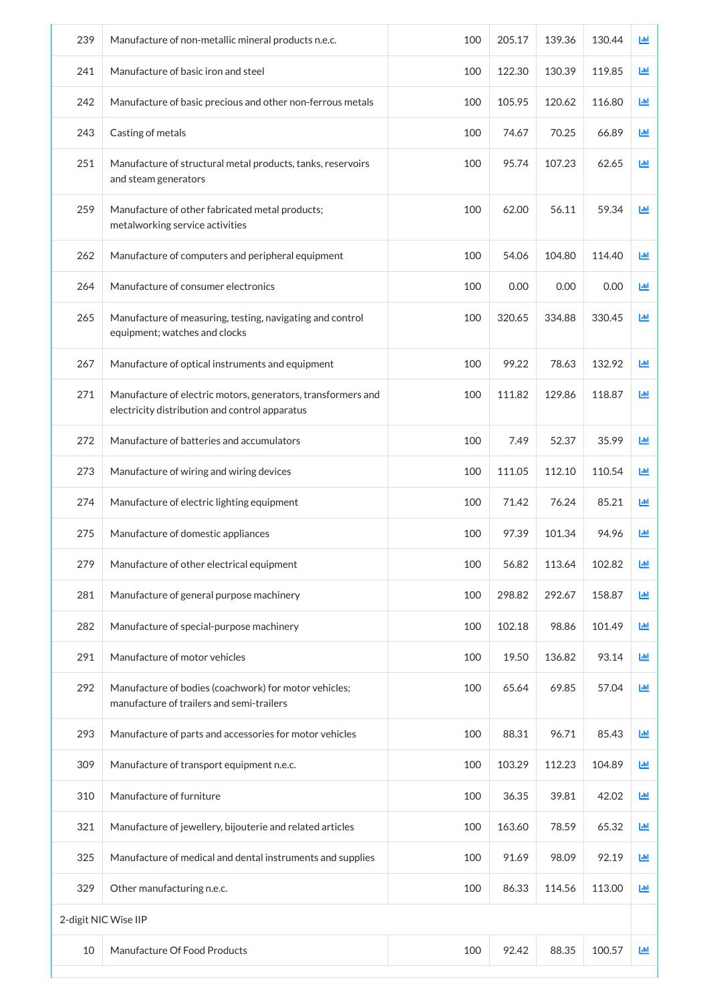| 239                  | Manufacture of non-metallic mineral products n.e.c.                                                            | 100 | 205.17 | 139.36 | 130.44 | Ш |
|----------------------|----------------------------------------------------------------------------------------------------------------|-----|--------|--------|--------|---|
| 241                  | Manufacture of basic iron and steel                                                                            | 100 | 122.30 | 130.39 | 119.85 | 画 |
| 242                  | Manufacture of basic precious and other non-ferrous metals                                                     | 100 | 105.95 | 120.62 | 116.80 | 画 |
| 243                  | Casting of metals                                                                                              | 100 | 74.67  | 70.25  | 66.89  | ш |
| 251                  | Manufacture of structural metal products, tanks, reservoirs<br>and steam generators                            | 100 | 95.74  | 107.23 | 62.65  | 画 |
| 259                  | Manufacture of other fabricated metal products;<br>metalworking service activities                             | 100 | 62.00  | 56.11  | 59.34  | 画 |
| 262                  | Manufacture of computers and peripheral equipment                                                              | 100 | 54.06  | 104.80 | 114.40 | 画 |
| 264                  | Manufacture of consumer electronics                                                                            | 100 | 0.00   | 0.00   | 0.00   | 画 |
| 265                  | Manufacture of measuring, testing, navigating and control<br>equipment; watches and clocks                     | 100 | 320.65 | 334.88 | 330.45 | 画 |
| 267                  | Manufacture of optical instruments and equipment                                                               | 100 | 99.22  | 78.63  | 132.92 | 画 |
| 271                  | Manufacture of electric motors, generators, transformers and<br>electricity distribution and control apparatus | 100 | 111.82 | 129.86 | 118.87 | 画 |
| 272                  | Manufacture of batteries and accumulators                                                                      | 100 | 7.49   | 52.37  | 35.99  | ш |
| 273                  | Manufacture of wiring and wiring devices                                                                       | 100 | 111.05 | 112.10 | 110.54 | 画 |
| 274                  | Manufacture of electric lighting equipment                                                                     | 100 | 71.42  | 76.24  | 85.21  | 画 |
| 275                  | Manufacture of domestic appliances                                                                             | 100 | 97.39  | 101.34 | 94.96  | ш |
| 279                  | Manufacture of other electrical equipment                                                                      | 100 | 56.82  | 113.64 | 102.82 | 画 |
| 281                  | Manufacture of general purpose machinery                                                                       | 100 | 298.82 | 292.67 | 158.87 | 画 |
| 282                  | Manufacture of special-purpose machinery                                                                       | 100 | 102.18 | 98.86  | 101.49 | 画 |
| 291                  | Manufacture of motor vehicles                                                                                  | 100 | 19.50  | 136.82 | 93.14  | 画 |
| 292                  | Manufacture of bodies (coachwork) for motor vehicles;<br>manufacture of trailers and semi-trailers             | 100 | 65.64  | 69.85  | 57.04  | 画 |
| 293                  | Manufacture of parts and accessories for motor vehicles                                                        | 100 | 88.31  | 96.71  | 85.43  | 画 |
| 309                  | Manufacture of transport equipment n.e.c.                                                                      | 100 | 103.29 | 112.23 | 104.89 | 画 |
| 310                  | Manufacture of furniture                                                                                       | 100 | 36.35  | 39.81  | 42.02  | 画 |
| 321                  | Manufacture of jewellery, bijouterie and related articles                                                      | 100 | 163.60 | 78.59  | 65.32  | 画 |
| 325                  | Manufacture of medical and dental instruments and supplies                                                     | 100 | 91.69  | 98.09  | 92.19  | 画 |
| 329                  | Other manufacturing n.e.c.                                                                                     | 100 | 86.33  | 114.56 | 113.00 | 画 |
| 2-digit NIC Wise IIP |                                                                                                                |     |        |        |        |   |
| 10                   | Manufacture Of Food Products                                                                                   | 100 | 92.42  | 88.35  | 100.57 | 画 |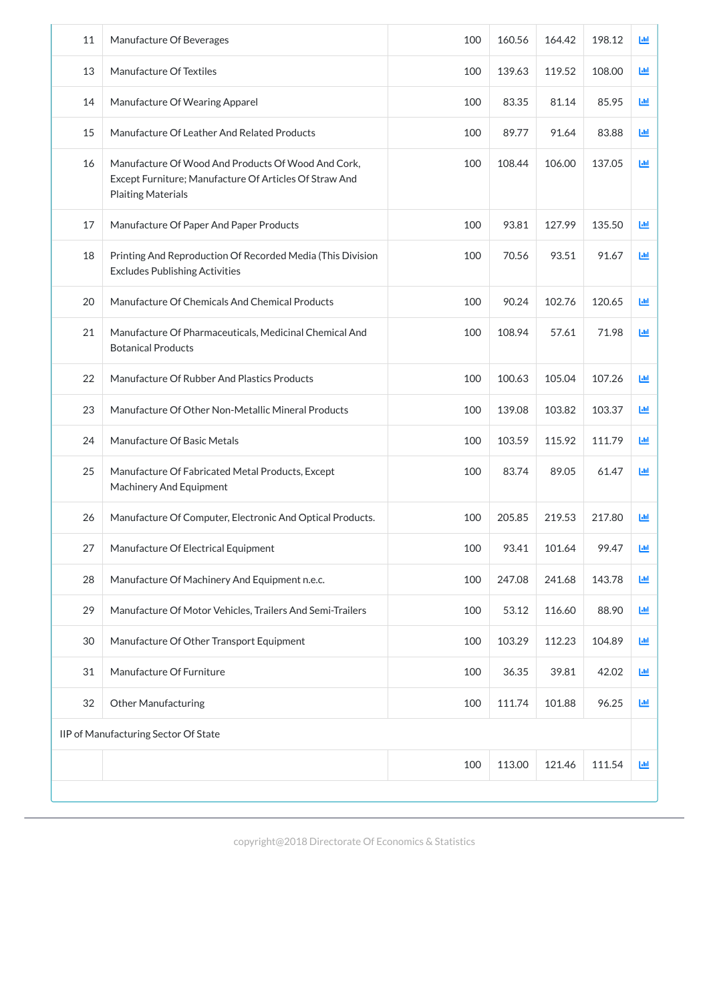| 11 | Manufacture Of Beverages                                                                                                                  | 100 | 160.56 | 164.42 | 198.12 | 画  |
|----|-------------------------------------------------------------------------------------------------------------------------------------------|-----|--------|--------|--------|----|
| 13 | Manufacture Of Textiles                                                                                                                   | 100 | 139.63 | 119.52 | 108.00 | 画  |
| 14 | Manufacture Of Wearing Apparel                                                                                                            | 100 | 83.35  | 81.14  | 85.95  | 画  |
| 15 | Manufacture Of Leather And Related Products                                                                                               | 100 | 89.77  | 91.64  | 83.88  | 画  |
| 16 | Manufacture Of Wood And Products Of Wood And Cork,<br>Except Furniture; Manufacture Of Articles Of Straw And<br><b>Plaiting Materials</b> | 100 | 108.44 | 106.00 | 137.05 | 画  |
| 17 | Manufacture Of Paper And Paper Products                                                                                                   | 100 | 93.81  | 127.99 | 135.50 | 画  |
| 18 | Printing And Reproduction Of Recorded Media (This Division<br><b>Excludes Publishing Activities</b>                                       | 100 | 70.56  | 93.51  | 91.67  | 画  |
| 20 | Manufacture Of Chemicals And Chemical Products                                                                                            | 100 | 90.24  | 102.76 | 120.65 | 画  |
| 21 | Manufacture Of Pharmaceuticals, Medicinal Chemical And<br><b>Botanical Products</b>                                                       | 100 | 108.94 | 57.61  | 71.98  | 画  |
| 22 | Manufacture Of Rubber And Plastics Products                                                                                               | 100 | 100.63 | 105.04 | 107.26 | 画  |
| 23 | Manufacture Of Other Non-Metallic Mineral Products                                                                                        | 100 | 139.08 | 103.82 | 103.37 | 画  |
| 24 | Manufacture Of Basic Metals                                                                                                               | 100 | 103.59 | 115.92 | 111.79 | Ш  |
| 25 | Manufacture Of Fabricated Metal Products, Except<br>Machinery And Equipment                                                               | 100 | 83.74  | 89.05  | 61.47  | 画  |
| 26 | Manufacture Of Computer, Electronic And Optical Products.                                                                                 | 100 | 205.85 | 219.53 | 217.80 | 画  |
| 27 | Manufacture Of Electrical Equipment                                                                                                       | 100 | 93.41  | 101.64 | 99.47  | Ш  |
| 28 | Manufacture Of Machinery And Equipment n.e.c.                                                                                             | 100 | 247.08 | 241.68 | 143.78 | 画  |
| 29 | Manufacture Of Motor Vehicles, Trailers And Semi-Trailers                                                                                 | 100 | 53.12  | 116.60 | 88.90  | 画  |
| 30 | Manufacture Of Other Transport Equipment                                                                                                  | 100 | 103.29 | 112.23 | 104.89 | 画  |
| 31 | Manufacture Of Furniture                                                                                                                  | 100 | 36.35  | 39.81  | 42.02  | 画  |
| 32 | <b>Other Manufacturing</b>                                                                                                                | 100 | 111.74 | 101.88 | 96.25  | ĿЩ |
|    | IIP of Manufacturing Sector Of State                                                                                                      |     |        |        |        |    |

| 100 | 113.00 | 1.46<br>$\Lambda$ $\Omega$<br>--- | -4-4<br>◝<br>---<br>$\overline{\phantom{a}}$ | 1.00 |
|-----|--------|-----------------------------------|----------------------------------------------|------|
|     |        |                                   |                                              |      |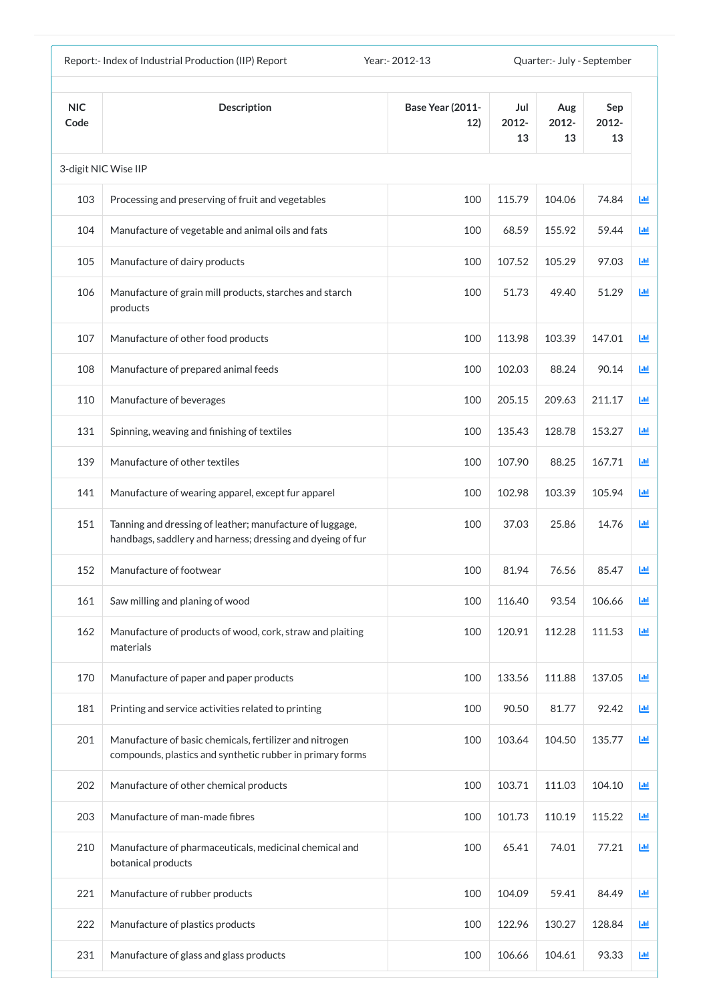|                    | Report:- Index of Industrial Production (IIP) Report<br>Year: - 2012-13<br>Quarter:- July - September                  |                                |                    |                    |                    |            |
|--------------------|------------------------------------------------------------------------------------------------------------------------|--------------------------------|--------------------|--------------------|--------------------|------------|
| <b>NIC</b><br>Code | <b>Description</b>                                                                                                     | <b>Base Year (2011-</b><br>12) | Jul<br>2012-<br>13 | Aug<br>2012-<br>13 | Sep<br>2012-<br>13 |            |
|                    | 3-digit NIC Wise IIP                                                                                                   |                                |                    |                    |                    |            |
| 103                | Processing and preserving of fruit and vegetables                                                                      | 100                            | 115.79             | 104.06             | 74.84              | <u>lad</u> |
| 104                | Manufacture of vegetable and animal oils and fats                                                                      | 100                            | 68.59              | 155.92             | 59.44              | 匝          |
| 105                | Manufacture of dairy products                                                                                          | 100                            | 107.52             | 105.29             | 97.03              | 匝          |
| 106                | Manufacture of grain mill products, starches and starch<br>products                                                    | 100                            | 51.73              | 49.40              | 51.29              | 國          |
| 107                | Manufacture of other food products                                                                                     | 100                            | 113.98             | 103.39             | 147.01             | 画          |
| 108                | Manufacture of prepared animal feeds                                                                                   | 100                            | 102.03             | 88.24              | 90.14              | 画          |
| 110                | Manufacture of beverages                                                                                               | 100                            | 205.15             | 209.63             | 211.17             | 匝          |
| 131                | Spinning, weaving and finishing of textiles                                                                            | 100                            | 135.43             | 128.78             | 153.27             | 國          |
| 139                | Manufacture of other textiles                                                                                          | 100                            | 107.90             | 88.25              | 167.71             | 匝          |
| 141                | Manufacture of wearing apparel, except fur apparel                                                                     | 100                            | 102.98             | 103.39             | 105.94             | ш          |
| 151                | Tanning and dressing of leather; manufacture of luggage,<br>handbags, saddlery and harness; dressing and dyeing of fur | 100                            | 37.03              | 25.86              | 14.76              | 匝          |
| 152                | Manufacture of footwear                                                                                                | 100                            | 81.94              | 76.56              | 85.47              | ш          |
| 161                | Saw milling and planing of wood                                                                                        | 100                            | 116.40             | 93.54              | 106.66             | 画          |
| 162                | Manufacture of products of wood, cork, straw and plaiting<br>materials                                                 | 100                            | 120.91             | 112.28             | 111.53             | 画          |
| 170                | Manufacture of paper and paper products                                                                                | 100                            | 133.56             | 111.88             | 137.05             | 國          |
| 181                | Printing and service activities related to printing                                                                    | 100                            | 90.50              | 81.77              | 92.42              | 画          |
| 201                | Manufacture of basic chemicals, fertilizer and nitrogen<br>compounds, plastics and synthetic rubber in primary forms   | 100                            | 103.64             | 104.50             | 135.77             | 画          |
| 202                | Manufacture of other chemical products                                                                                 | 100                            | 103.71             | 111.03             | 104.10             | 画          |
| 203                | Manufacture of man-made fibres                                                                                         | 100                            | 101.73             | 110.19             | 115.22             | Ш          |
| 210                | Manufacture of pharmaceuticals, medicinal chemical and<br>botanical products                                           | 100                            | 65.41              | 74.01              | 77.21              | 画          |
| 221                | Manufacture of rubber products                                                                                         | 100                            | 104.09             | 59.41              | 84.49              | 画          |
| 222                | Manufacture of plastics products                                                                                       | 100                            | 122.96             | 130.27             | 128.84             | Ш          |
| 231                | Manufacture of glass and glass products                                                                                | 100                            | 106.66             | 104.61             | 93.33              | Ш          |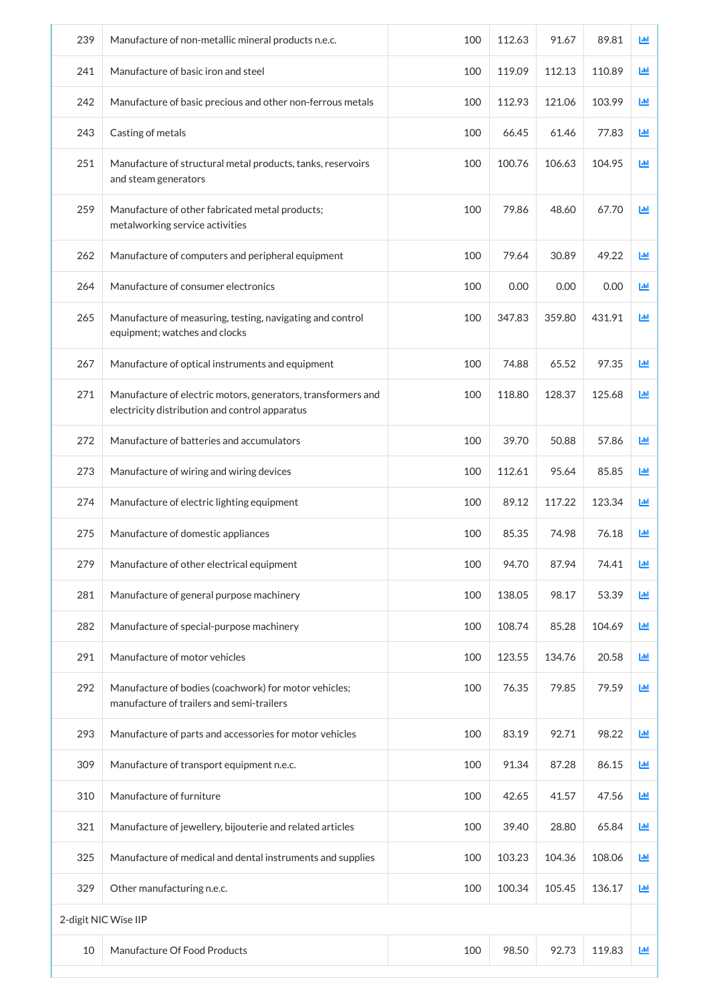| 239 | Manufacture of non-metallic mineral products n.e.c.                                                            | 100 | 112.63 | 91.67  | 89.81  | 画          |
|-----|----------------------------------------------------------------------------------------------------------------|-----|--------|--------|--------|------------|
| 241 | Manufacture of basic iron and steel                                                                            | 100 | 119.09 | 112.13 | 110.89 | ш          |
| 242 | Manufacture of basic precious and other non-ferrous metals                                                     | 100 | 112.93 | 121.06 | 103.99 | ш          |
| 243 | Casting of metals                                                                                              | 100 | 66.45  | 61.46  | 77.83  | Ш          |
| 251 | Manufacture of structural metal products, tanks, reservoirs<br>and steam generators                            | 100 | 100.76 | 106.63 | 104.95 | Ш          |
| 259 | Manufacture of other fabricated metal products;<br>metalworking service activities                             | 100 | 79.86  | 48.60  | 67.70  | 画          |
| 262 | Manufacture of computers and peripheral equipment                                                              | 100 | 79.64  | 30.89  | 49.22  | 画          |
| 264 | Manufacture of consumer electronics                                                                            | 100 | 0.00   | 0.00   | 0.00   | 匝          |
| 265 | Manufacture of measuring, testing, navigating and control<br>equipment; watches and clocks                     | 100 | 347.83 | 359.80 | 431.91 | 画          |
| 267 | Manufacture of optical instruments and equipment                                                               | 100 | 74.88  | 65.52  | 97.35  | 画          |
| 271 | Manufacture of electric motors, generators, transformers and<br>electricity distribution and control apparatus | 100 | 118.80 | 128.37 | 125.68 | 画          |
| 272 | Manufacture of batteries and accumulators                                                                      | 100 | 39.70  | 50.88  | 57.86  | 画          |
| 273 | Manufacture of wiring and wiring devices                                                                       | 100 | 112.61 | 95.64  | 85.85  | ĿЩ         |
| 274 | Manufacture of electric lighting equipment                                                                     | 100 | 89.12  | 117.22 | 123.34 | <b>Lul</b> |
| 275 | Manufacture of domestic appliances                                                                             | 100 | 85.35  | 74.98  | 76.18  | ĿЩ         |
| 279 | Manufacture of other electrical equipment                                                                      | 100 | 94.70  | 87.94  | 74.41  | ĿЩ         |
| 281 | Manufacture of general purpose machinery                                                                       | 100 | 138.05 | 98.17  | 53.39  | 画          |
| 282 | Manufacture of special-purpose machinery                                                                       | 100 | 108.74 | 85.28  | 104.69 | 画          |
| 291 | Manufacture of motor vehicles                                                                                  | 100 | 123.55 | 134.76 | 20.58  | 画          |
| 292 | Manufacture of bodies (coachwork) for motor vehicles;<br>manufacture of trailers and semi-trailers             | 100 | 76.35  | 79.85  | 79.59  | 画          |
| 293 | Manufacture of parts and accessories for motor vehicles                                                        | 100 | 83.19  | 92.71  | 98.22  | ĿЩ         |
| 309 | Manufacture of transport equipment n.e.c.                                                                      | 100 | 91.34  | 87.28  | 86.15  | 画          |
| 310 | Manufacture of furniture                                                                                       | 100 | 42.65  | 41.57  | 47.56  | 画          |
| 321 | Manufacture of jewellery, bijouterie and related articles                                                      | 100 | 39.40  | 28.80  | 65.84  | 画          |
| 325 | Manufacture of medical and dental instruments and supplies                                                     | 100 | 103.23 | 104.36 | 108.06 | 画          |
| 329 | Other manufacturing n.e.c.                                                                                     | 100 | 100.34 | 105.45 | 136.17 | Ш          |
|     | 2-digit NIC Wise IIP                                                                                           |     |        |        |        |            |
| 10  | Manufacture Of Food Products                                                                                   | 100 | 98.50  | 92.73  | 119.83 | ĿЩ         |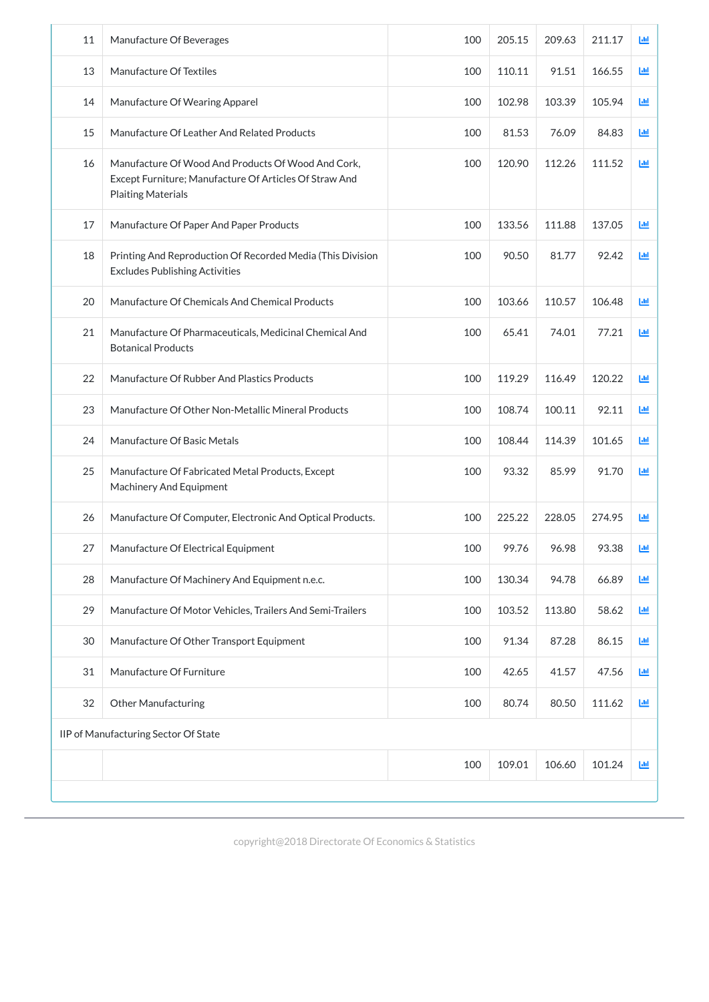| 11 | Manufacture Of Beverages                                                                                                                  | 100 | 205.15 | 209.63 | 211.17 | ĿЩ         |
|----|-------------------------------------------------------------------------------------------------------------------------------------------|-----|--------|--------|--------|------------|
| 13 | Manufacture Of Textiles                                                                                                                   | 100 | 110.11 | 91.51  | 166.55 | 画          |
| 14 | Manufacture Of Wearing Apparel                                                                                                            | 100 | 102.98 | 103.39 | 105.94 | 画          |
| 15 | Manufacture Of Leather And Related Products                                                                                               | 100 | 81.53  | 76.09  | 84.83  | 画          |
| 16 | Manufacture Of Wood And Products Of Wood And Cork,<br>Except Furniture; Manufacture Of Articles Of Straw And<br><b>Plaiting Materials</b> | 100 | 120.90 | 112.26 | 111.52 | ĿЩ         |
| 17 | Manufacture Of Paper And Paper Products                                                                                                   | 100 | 133.56 | 111.88 | 137.05 | 画          |
| 18 | Printing And Reproduction Of Recorded Media (This Division<br><b>Excludes Publishing Activities</b>                                       | 100 | 90.50  | 81.77  | 92.42  | 画          |
| 20 | Manufacture Of Chemicals And Chemical Products                                                                                            | 100 | 103.66 | 110.57 | 106.48 | <b>Ltd</b> |
| 21 | Manufacture Of Pharmaceuticals, Medicinal Chemical And<br><b>Botanical Products</b>                                                       | 100 | 65.41  | 74.01  | 77.21  | 画          |
| 22 | Manufacture Of Rubber And Plastics Products                                                                                               | 100 | 119.29 | 116.49 | 120.22 | 画          |
| 23 | Manufacture Of Other Non-Metallic Mineral Products                                                                                        | 100 | 108.74 | 100.11 | 92.11  | 画          |
| 24 | Manufacture Of Basic Metals                                                                                                               | 100 | 108.44 | 114.39 | 101.65 | Ш          |
| 25 | Manufacture Of Fabricated Metal Products, Except<br>Machinery And Equipment                                                               | 100 | 93.32  | 85.99  | 91.70  | 画          |
| 26 | Manufacture Of Computer, Electronic And Optical Products.                                                                                 | 100 | 225.22 | 228.05 | 274.95 | Ш          |
| 27 | Manufacture Of Electrical Equipment                                                                                                       | 100 | 99.76  | 96.98  | 93.38  | ĿЩ         |
| 28 | Manufacture Of Machinery And Equipment n.e.c.                                                                                             | 100 | 130.34 | 94.78  | 66.89  | 画          |
| 29 | Manufacture Of Motor Vehicles, Trailers And Semi-Trailers                                                                                 | 100 | 103.52 | 113.80 | 58.62  | 画          |
| 30 | Manufacture Of Other Transport Equipment                                                                                                  | 100 | 91.34  | 87.28  | 86.15  | 画          |
| 31 | Manufacture Of Furniture                                                                                                                  | 100 | 42.65  | 41.57  | 47.56  | 画          |
| 32 | <b>Other Manufacturing</b>                                                                                                                | 100 | 80.74  | 80.50  | 111.62 | ĿЩ         |
|    | IIP of Manufacturing Sector Of State                                                                                                      |     |        |        |        |            |

| 100 | 10001<br>TAY.OT | 106.60 | 101<br>.24 | 1.td |
|-----|-----------------|--------|------------|------|
|     |                 |        |            |      |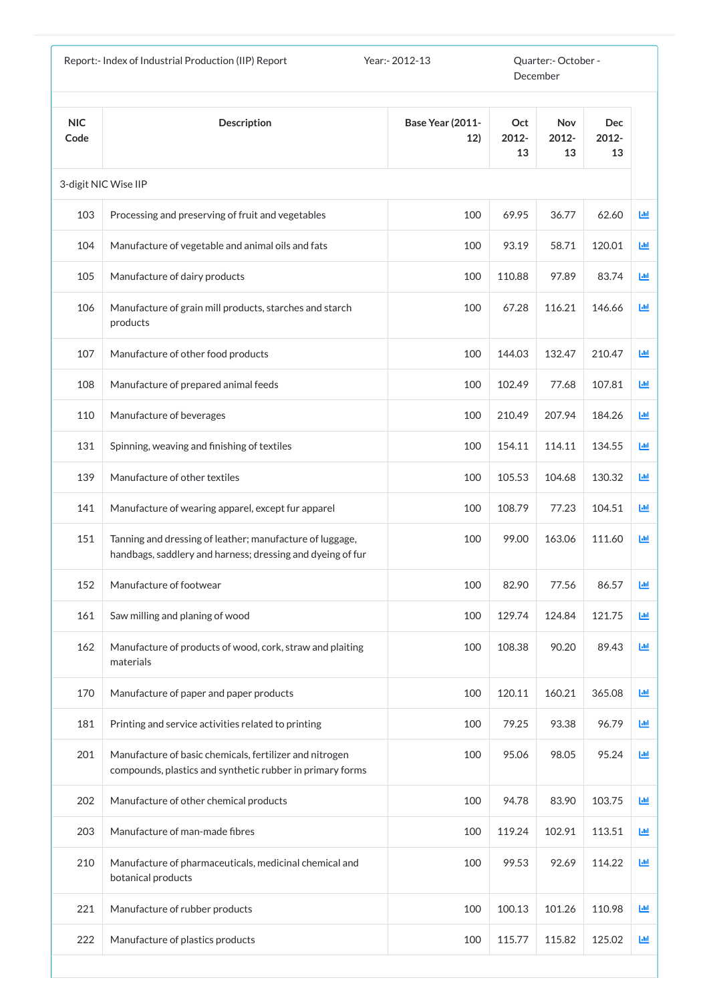|                    | Report:- Index of Industrial Production (IIP) Report                                                                   | Year: - 2012-13                |                    | Quarter:- October -<br>December |                           |   |
|--------------------|------------------------------------------------------------------------------------------------------------------------|--------------------------------|--------------------|---------------------------------|---------------------------|---|
| <b>NIC</b><br>Code | <b>Description</b>                                                                                                     | <b>Base Year (2011-</b><br>12) | Oct<br>2012-<br>13 | <b>Nov</b><br>2012-<br>13       | <b>Dec</b><br>2012-<br>13 |   |
|                    | 3-digit NIC Wise IIP                                                                                                   |                                |                    |                                 |                           |   |
| 103                | Processing and preserving of fruit and vegetables                                                                      | 100                            | 69.95              | 36.77                           | 62.60                     | 画 |
| 104                | Manufacture of vegetable and animal oils and fats                                                                      | 100                            | 93.19              | 58.71                           | 120.01                    | 画 |
| 105                | Manufacture of dairy products                                                                                          | 100                            | 110.88             | 97.89                           | 83.74                     | 画 |
| 106                | Manufacture of grain mill products, starches and starch<br>products                                                    | 100                            | 67.28              | 116.21                          | 146.66                    | 画 |
| 107                | Manufacture of other food products                                                                                     | 100                            | 144.03             | 132.47                          | 210.47                    | Ш |
| 108                | Manufacture of prepared animal feeds                                                                                   | 100                            | 102.49             | 77.68                           | 107.81                    | 画 |
| 110                | Manufacture of beverages                                                                                               | 100                            | 210.49             | 207.94                          | 184.26                    | 画 |
| 131                | Spinning, weaving and finishing of textiles                                                                            | 100                            | 154.11             | 114.11                          | 134.55                    | 画 |
| 139                | Manufacture of other textiles                                                                                          | 100                            | 105.53             | 104.68                          | 130.32                    | 画 |
| 141                | Manufacture of wearing apparel, except fur apparel                                                                     | 100                            | 108.79             | 77.23                           | 104.51                    | 画 |
| 151                | Tanning and dressing of leather; manufacture of luggage,<br>handbags, saddlery and harness; dressing and dyeing of fur | 100                            | 99.00              | 163.06                          | 111.60                    | 画 |
| 152                | Manufacture of footwear                                                                                                | 100                            | 82.90              | 77.56                           | 86.57                     | 画 |
| 161                | Saw milling and planing of wood                                                                                        | 100                            | 129.74             | 124.84                          | 121.75                    | 画 |
| 162                | Manufacture of products of wood, cork, straw and plaiting<br>materials                                                 | 100                            | 108.38             | 90.20                           | 89.43                     | 画 |
| 170                | Manufacture of paper and paper products                                                                                | 100                            | 120.11             | 160.21                          | 365.08                    | 画 |
| 181                | Printing and service activities related to printing                                                                    | 100                            | 79.25              | 93.38                           | 96.79                     | 画 |
| 201                | Manufacture of basic chemicals, fertilizer and nitrogen<br>compounds, plastics and synthetic rubber in primary forms   | 100                            | 95.06              | 98.05                           | 95.24                     | 画 |
| 202                | Manufacture of other chemical products                                                                                 | 100                            | 94.78              | 83.90                           | 103.75                    | 画 |
| 203                | Manufacture of man-made fibres                                                                                         | 100                            | 119.24             | 102.91                          | 113.51                    | 画 |
| 210                | Manufacture of pharmaceuticals, medicinal chemical and<br>botanical products                                           | 100                            | 99.53              | 92.69                           | 114.22                    | 画 |
| 221                | Manufacture of rubber products                                                                                         | 100                            | 100.13             | 101.26                          | 110.98                    | 画 |
| 222                | Manufacture of plastics products                                                                                       | 100                            | 115.77             | 115.82                          | 125.02                    | 画 |
|                    |                                                                                                                        |                                |                    |                                 |                           |   |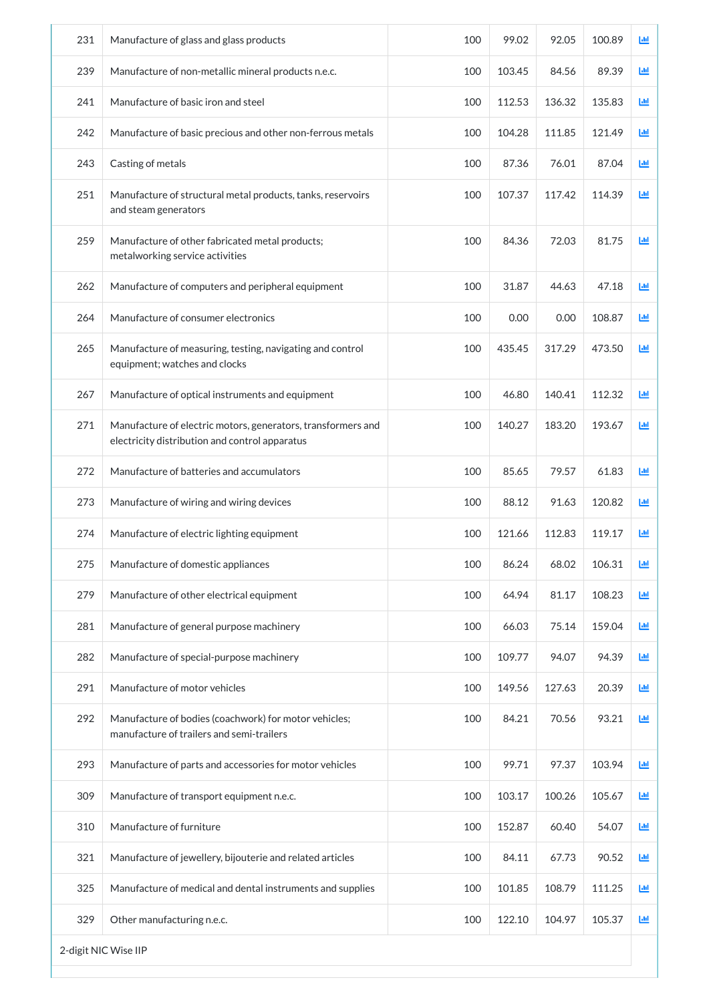| 231 | Manufacture of glass and glass products                                                                        | 100 | 99.02  | 92.05  | 100.89 | 画 |
|-----|----------------------------------------------------------------------------------------------------------------|-----|--------|--------|--------|---|
| 239 | Manufacture of non-metallic mineral products n.e.c.                                                            | 100 | 103.45 | 84.56  | 89.39  | 画 |
| 241 | Manufacture of basic iron and steel                                                                            | 100 | 112.53 | 136.32 | 135.83 | ш |
| 242 | Manufacture of basic precious and other non-ferrous metals                                                     | 100 | 104.28 | 111.85 | 121.49 | 画 |
| 243 | Casting of metals                                                                                              | 100 | 87.36  | 76.01  | 87.04  | 画 |
| 251 | Manufacture of structural metal products, tanks, reservoirs<br>and steam generators                            | 100 | 107.37 | 117.42 | 114.39 | 画 |
| 259 | Manufacture of other fabricated metal products;<br>metalworking service activities                             | 100 | 84.36  | 72.03  | 81.75  | 画 |
| 262 | Manufacture of computers and peripheral equipment                                                              | 100 | 31.87  | 44.63  | 47.18  | 画 |
| 264 | Manufacture of consumer electronics                                                                            | 100 | 0.00   | 0.00   | 108.87 | 画 |
| 265 | Manufacture of measuring, testing, navigating and control<br>equipment; watches and clocks                     | 100 | 435.45 | 317.29 | 473.50 | 画 |
| 267 | Manufacture of optical instruments and equipment                                                               | 100 | 46.80  | 140.41 | 112.32 | 画 |
| 271 | Manufacture of electric motors, generators, transformers and<br>electricity distribution and control apparatus | 100 | 140.27 | 183.20 | 193.67 | 画 |
| 272 | Manufacture of batteries and accumulators                                                                      | 100 | 85.65  | 79.57  | 61.83  | 画 |
| 273 | Manufacture of wiring and wiring devices                                                                       | 100 | 88.12  | 91.63  | 120.82 | ш |
| 274 | Manufacture of electric lighting equipment                                                                     | 100 | 121.66 | 112.83 | 119.17 | ш |
| 275 | Manufacture of domestic appliances                                                                             | 100 | 86.24  | 68.02  | 106.31 | 画 |
| 279 | Manufacture of other electrical equipment                                                                      | 100 | 64.94  | 81.17  | 108.23 | 画 |
| 281 | Manufacture of general purpose machinery                                                                       | 100 | 66.03  | 75.14  | 159.04 | 画 |
| 282 | Manufacture of special-purpose machinery                                                                       | 100 | 109.77 | 94.07  | 94.39  | 画 |
| 291 | Manufacture of motor vehicles                                                                                  | 100 | 149.56 | 127.63 | 20.39  | 画 |
| 292 | Manufacture of bodies (coachwork) for motor vehicles;<br>manufacture of trailers and semi-trailers             | 100 | 84.21  | 70.56  | 93.21  | 画 |
| 293 | Manufacture of parts and accessories for motor vehicles                                                        | 100 | 99.71  | 97.37  | 103.94 | ш |
| 309 | Manufacture of transport equipment n.e.c.                                                                      | 100 | 103.17 | 100.26 | 105.67 | 画 |
| 310 | Manufacture of furniture                                                                                       | 100 | 152.87 | 60.40  | 54.07  | 画 |
| 321 | Manufacture of jewellery, bijouterie and related articles                                                      | 100 | 84.11  | 67.73  | 90.52  | 画 |
| 325 | Manufacture of medical and dental instruments and supplies                                                     | 100 | 101.85 | 108.79 | 111.25 | 画 |
| 329 | Other manufacturing n.e.c.                                                                                     | 100 | 122.10 | 104.97 | 105.37 | 画 |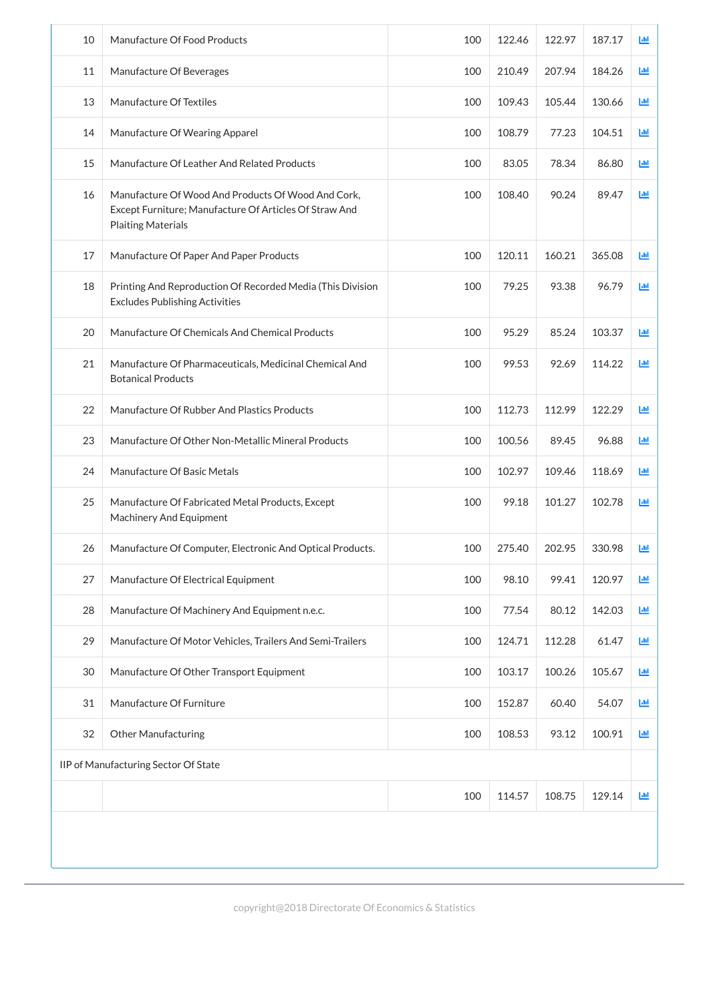| 10 | Manufacture Of Food Products                                                                                                              | 100 | 122.46 | 122.97 | 187.17 | 画          |
|----|-------------------------------------------------------------------------------------------------------------------------------------------|-----|--------|--------|--------|------------|
| 11 | Manufacture Of Beverages                                                                                                                  | 100 | 210.49 | 207.94 | 184.26 | Ш          |
| 13 | Manufacture Of Textiles                                                                                                                   | 100 | 109.43 | 105.44 | 130.66 | Ш          |
| 14 | Manufacture Of Wearing Apparel                                                                                                            | 100 | 108.79 | 77.23  | 104.51 | ĿЩ         |
| 15 | Manufacture Of Leather And Related Products                                                                                               | 100 | 83.05  | 78.34  | 86.80  | ĿШ         |
| 16 | Manufacture Of Wood And Products Of Wood And Cork,<br>Except Furniture; Manufacture Of Articles Of Straw And<br><b>Plaiting Materials</b> | 100 | 108.40 | 90.24  | 89.47  | <b>Lul</b> |
| 17 | Manufacture Of Paper And Paper Products                                                                                                   | 100 | 120.11 | 160.21 | 365.08 | <b>Ltd</b> |
| 18 | Printing And Reproduction Of Recorded Media (This Division<br><b>Excludes Publishing Activities</b>                                       | 100 | 79.25  | 93.38  | 96.79  | 画          |
| 20 | Manufacture Of Chemicals And Chemical Products                                                                                            | 100 | 95.29  | 85.24  | 103.37 | 画          |
| 21 | Manufacture Of Pharmaceuticals, Medicinal Chemical And<br><b>Botanical Products</b>                                                       | 100 | 99.53  | 92.69  | 114.22 | ĿЩ         |
| 22 | Manufacture Of Rubber And Plastics Products                                                                                               | 100 | 112.73 | 112.99 | 122.29 | 画          |
| 23 | Manufacture Of Other Non-Metallic Mineral Products                                                                                        | 100 | 100.56 | 89.45  | 96.88  | Ш          |
| 24 | Manufacture Of Basic Metals                                                                                                               | 100 | 102.97 | 109.46 | 118.69 | 画          |
| 25 | Manufacture Of Fabricated Metal Products, Except<br><b>Machinery And Equipment</b>                                                        | 100 | 99.18  | 101.27 | 102.78 | 画          |
| 26 | Manufacture Of Computer, Electronic And Optical Products.                                                                                 | 100 | 275.40 | 202.95 | 330.98 | 画          |
| 27 | Manufacture Of Electrical Equipment                                                                                                       | 100 | 98.10  | 99.41  | 120.97 | 画          |
| 28 | Manufacture Of Machinery And Equipment n.e.c.                                                                                             | 100 | 77.54  | 80.12  | 142.03 | 画          |
| 29 | Manufacture Of Motor Vehicles, Trailers And Semi-Trailers                                                                                 | 100 | 124.71 | 112.28 | 61.47  | 画          |
| 30 | Manufacture Of Other Transport Equipment                                                                                                  | 100 | 103.17 | 100.26 | 105.67 | 画          |
| 31 | Manufacture Of Furniture                                                                                                                  | 100 | 152.87 | 60.40  | 54.07  | 画          |
| 32 | <b>Other Manufacturing</b>                                                                                                                | 100 | 108.53 | 93.12  | 100.91 | ĿЩ         |

| IIP of Manufacturing Sector Of State |     |        |                 |  |            |  |
|--------------------------------------|-----|--------|-----------------|--|------------|--|
|                                      | 100 | 114.57 | $108.75$ 129.14 |  | <b>Jul</b> |  |
|                                      |     |        |                 |  |            |  |
|                                      |     |        |                 |  |            |  |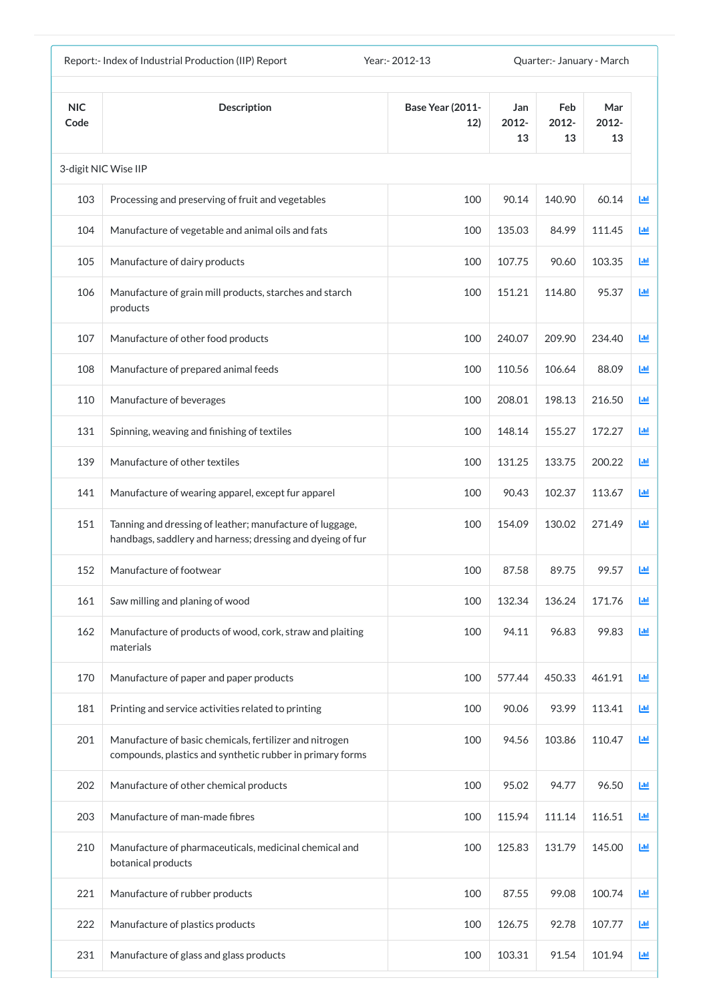| Report:- Index of Industrial Production (IIP) Report<br>Year: - 2012-13<br>Quarter: January - March |                                                                                                                        |                                |                    |                    |                    |      |  |
|-----------------------------------------------------------------------------------------------------|------------------------------------------------------------------------------------------------------------------------|--------------------------------|--------------------|--------------------|--------------------|------|--|
| <b>NIC</b><br>Code                                                                                  | <b>Description</b>                                                                                                     | <b>Base Year (2011-</b><br>12) | Jan<br>2012-<br>13 | Feb<br>2012-<br>13 | Mar<br>2012-<br>13 |      |  |
|                                                                                                     | 3-digit NIC Wise IIP                                                                                                   |                                |                    |                    |                    |      |  |
| 103                                                                                                 | Processing and preserving of fruit and vegetables                                                                      | 100                            | 90.14              | 140.90             | 60.14              | 匝    |  |
| 104                                                                                                 | Manufacture of vegetable and animal oils and fats                                                                      | 100                            | 135.03             | 84.99              | 111.45             | 画    |  |
| 105                                                                                                 | Manufacture of dairy products                                                                                          | 100                            | 107.75             | 90.60              | 103.35             | 画    |  |
| 106                                                                                                 | Manufacture of grain mill products, starches and starch<br>products                                                    | 100                            | 151.21             | 114.80             | 95.37              | 國    |  |
| 107                                                                                                 | Manufacture of other food products                                                                                     | 100                            | 240.07             | 209.90             | 234.40             | Ш    |  |
| 108                                                                                                 | Manufacture of prepared animal feeds                                                                                   | 100                            | 110.56             | 106.64             | 88.09              | 画    |  |
| 110                                                                                                 | Manufacture of beverages                                                                                               | 100                            | 208.01             | 198.13             | 216.50             | 匝    |  |
| 131                                                                                                 | Spinning, weaving and finishing of textiles                                                                            | 100                            | 148.14             | 155.27             | 172.27             | J.hl |  |
| 139                                                                                                 | Manufacture of other textiles                                                                                          | 100                            | 131.25             | 133.75             | 200.22             | Ш    |  |
| 141                                                                                                 | Manufacture of wearing apparel, except fur apparel                                                                     | 100                            | 90.43              | 102.37             | 113.67             | ш    |  |
| 151                                                                                                 | Tanning and dressing of leather; manufacture of luggage,<br>handbags, saddlery and harness; dressing and dyeing of fur | 100                            | 154.09             | 130.02             | 271.49             | 匝    |  |
| 152                                                                                                 | Manufacture of footwear                                                                                                | 100                            | 87.58              | 89.75              | 99.57              | ш    |  |
| 161                                                                                                 | Saw milling and planing of wood                                                                                        | 100                            | 132.34             | 136.24             | 171.76             | 画    |  |
| 162                                                                                                 | Manufacture of products of wood, cork, straw and plaiting<br>materials                                                 | 100                            | 94.11              | 96.83              | 99.83              | 画    |  |
| 170                                                                                                 | Manufacture of paper and paper products                                                                                | 100                            | 577.44             | 450.33             | 461.91             | 國    |  |
| 181                                                                                                 | Printing and service activities related to printing                                                                    | 100                            | 90.06              | 93.99              | 113.41             | 画    |  |
| 201                                                                                                 | Manufacture of basic chemicals, fertilizer and nitrogen<br>compounds, plastics and synthetic rubber in primary forms   | 100                            | 94.56              | 103.86             | 110.47             | 画    |  |
| 202                                                                                                 | Manufacture of other chemical products                                                                                 | 100                            | 95.02              | 94.77              | 96.50              | 画    |  |
| 203                                                                                                 | Manufacture of man-made fibres                                                                                         | 100                            | 115.94             | 111.14             | 116.51             | Ш    |  |
| 210                                                                                                 | Manufacture of pharmaceuticals, medicinal chemical and<br>botanical products                                           | 100                            | 125.83             | 131.79             | 145.00             | 画    |  |
| 221                                                                                                 | Manufacture of rubber products                                                                                         | 100                            | 87.55              | 99.08              | 100.74             | 画    |  |
| 222                                                                                                 | Manufacture of plastics products                                                                                       | 100                            | 126.75             | 92.78              | 107.77             | Ш    |  |
| 231                                                                                                 | Manufacture of glass and glass products                                                                                | 100                            | 103.31             | 91.54              | 101.94             | Ш    |  |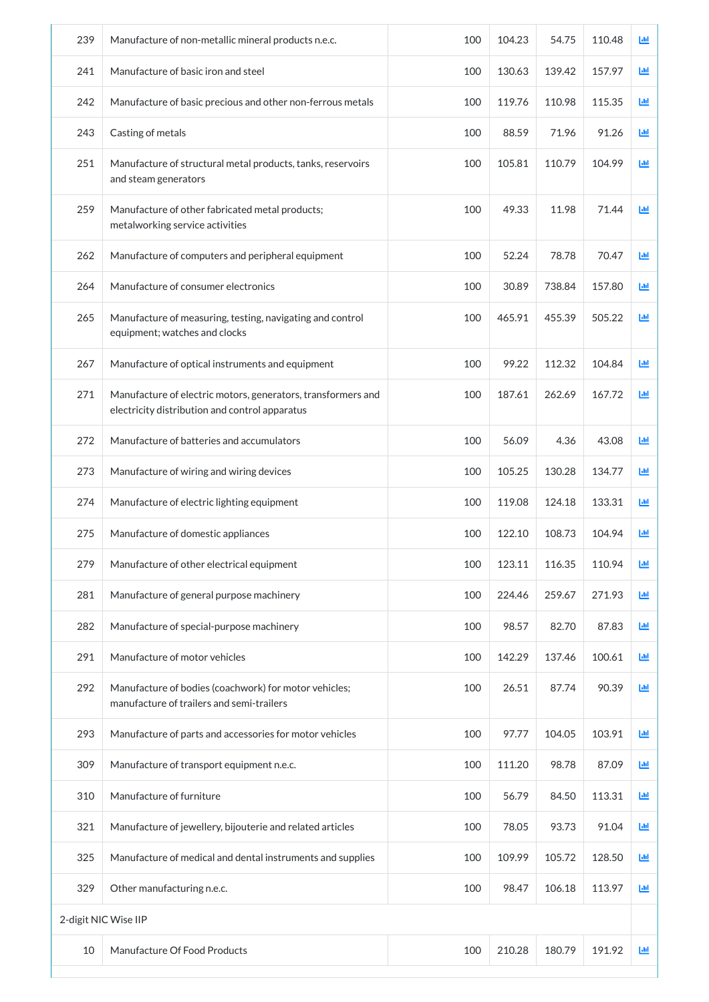| 239 | Manufacture of non-metallic mineral products n.e.c.                                                            | 100 | 104.23 | 54.75  | 110.48 | Ш |
|-----|----------------------------------------------------------------------------------------------------------------|-----|--------|--------|--------|---|
| 241 | Manufacture of basic iron and steel                                                                            | 100 | 130.63 | 139.42 | 157.97 | 画 |
| 242 | Manufacture of basic precious and other non-ferrous metals                                                     | 100 | 119.76 | 110.98 | 115.35 | 画 |
| 243 | Casting of metals                                                                                              | 100 | 88.59  | 71.96  | 91.26  | 画 |
| 251 | Manufacture of structural metal products, tanks, reservoirs<br>and steam generators                            | 100 | 105.81 | 110.79 | 104.99 | 画 |
| 259 | Manufacture of other fabricated metal products;<br>metalworking service activities                             | 100 | 49.33  | 11.98  | 71.44  | 画 |
| 262 | Manufacture of computers and peripheral equipment                                                              | 100 | 52.24  | 78.78  | 70.47  | 画 |
| 264 | Manufacture of consumer electronics                                                                            | 100 | 30.89  | 738.84 | 157.80 | 画 |
| 265 | Manufacture of measuring, testing, navigating and control<br>equipment; watches and clocks                     | 100 | 465.91 | 455.39 | 505.22 | 画 |
| 267 | Manufacture of optical instruments and equipment                                                               | 100 | 99.22  | 112.32 | 104.84 | 画 |
| 271 | Manufacture of electric motors, generators, transformers and<br>electricity distribution and control apparatus | 100 | 187.61 | 262.69 | 167.72 | 画 |
| 272 | Manufacture of batteries and accumulators                                                                      | 100 | 56.09  | 4.36   | 43.08  | ш |
| 273 | Manufacture of wiring and wiring devices                                                                       | 100 | 105.25 | 130.28 | 134.77 | 画 |
| 274 | Manufacture of electric lighting equipment                                                                     | 100 | 119.08 | 124.18 | 133.31 | 画 |
| 275 | Manufacture of domestic appliances                                                                             | 100 | 122.10 | 108.73 | 104.94 | ш |
| 279 | Manufacture of other electrical equipment                                                                      | 100 | 123.11 | 116.35 | 110.94 | 画 |
| 281 | Manufacture of general purpose machinery                                                                       | 100 | 224.46 | 259.67 | 271.93 | 画 |
| 282 | Manufacture of special-purpose machinery                                                                       | 100 | 98.57  | 82.70  | 87.83  | 画 |
| 291 | Manufacture of motor vehicles                                                                                  | 100 | 142.29 | 137.46 | 100.61 | 画 |
| 292 | Manufacture of bodies (coachwork) for motor vehicles;<br>manufacture of trailers and semi-trailers             | 100 | 26.51  | 87.74  | 90.39  | 画 |
| 293 | Manufacture of parts and accessories for motor vehicles                                                        | 100 | 97.77  | 104.05 | 103.91 | 画 |
| 309 | Manufacture of transport equipment n.e.c.                                                                      | 100 | 111.20 | 98.78  | 87.09  | 画 |
| 310 | Manufacture of furniture                                                                                       | 100 | 56.79  | 84.50  | 113.31 | 画 |
| 321 | Manufacture of jewellery, bijouterie and related articles                                                      | 100 | 78.05  | 93.73  | 91.04  | 画 |
| 325 | Manufacture of medical and dental instruments and supplies                                                     | 100 | 109.99 | 105.72 | 128.50 | 画 |
| 329 | Other manufacturing n.e.c.                                                                                     | 100 | 98.47  | 106.18 | 113.97 | 画 |
|     | 2-digit NIC Wise IIP                                                                                           |     |        |        |        |   |
| 10  | Manufacture Of Food Products                                                                                   | 100 | 210.28 | 180.79 | 191.92 | 画 |